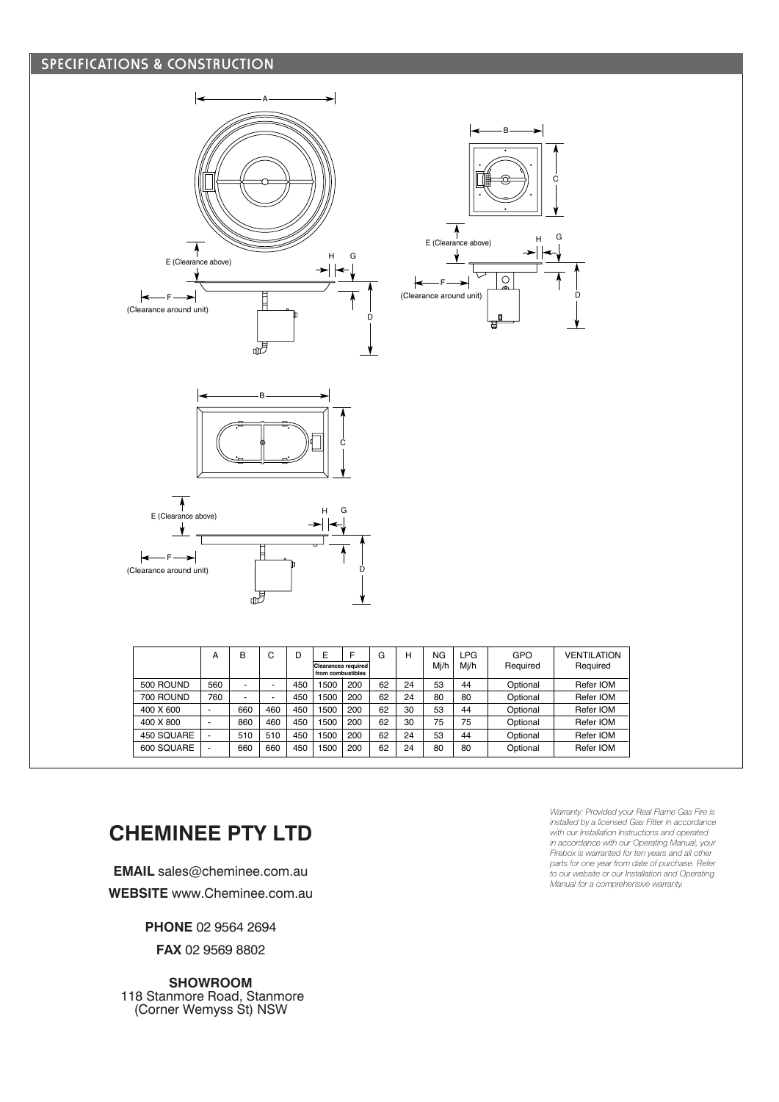#### SPECIFICATIONS & CONSTRUCTION







|            | А                        | В   | ◡   |     | E                                               |     | G  | н  | NG   | LPG  | GPO      | <b>VENTILATION</b> |
|------------|--------------------------|-----|-----|-----|-------------------------------------------------|-----|----|----|------|------|----------|--------------------|
|            |                          |     |     |     | <b>Clearances required</b><br>from combustibles |     |    |    | Mi/h | Mi/h | Required | Required           |
| 500 ROUND  | 560                      |     |     | 450 | 1500                                            | 200 | 62 | 24 | 53   | 44   | Optional | Refer IOM          |
| 700 ROUND  | 760                      |     |     | 450 | 1500                                            | 200 | 62 | 24 | 80   | 80   | Optional | Refer IOM          |
| 400 X 600  | $\overline{\phantom{a}}$ | 660 | 460 | 450 | 1500                                            | 200 | 62 | 30 | 53   | 44   | Optional | Refer IOM          |
| 400 X 800  | $\overline{\phantom{a}}$ | 860 | 460 | 450 | 1500                                            | 200 | 62 | 30 | 75   | 75   | Optional | Refer IOM          |
| 450 SQUARE | $\overline{\phantom{a}}$ | 510 | 510 | 450 | 1500                                            | 200 | 62 | 24 | 53   | 44   | Optional | Refer IOM          |
| 600 SQUARE | $\overline{\phantom{a}}$ | 660 | 660 | 450 | 1500                                            | 200 | 62 | 24 | 80   | 80   | Optional | Refer IOM          |

### **CHEMINEE PTY LTD**

**EMAIL** sales@cheminee.com.au **WEBSITE** www.Cheminee.com.au

**PHONE** 02 9564 2694

**FAX** 02 9569 8802

**SHOWROOM** 118 Stanmore Road, Stanmore (Corner Wemyss St) NSW

*Warranty: Provided your Real Flame Gas Fire is installed by a licensed Gas Fitter in accordance with our Installation Instructions and operated in accordance with our Operating Manual, your Firebox is warranted for ten years and all other parts for one year from date of purchase. Refer to our website or our Installation and Operating Manual for a comprehensive warranty.*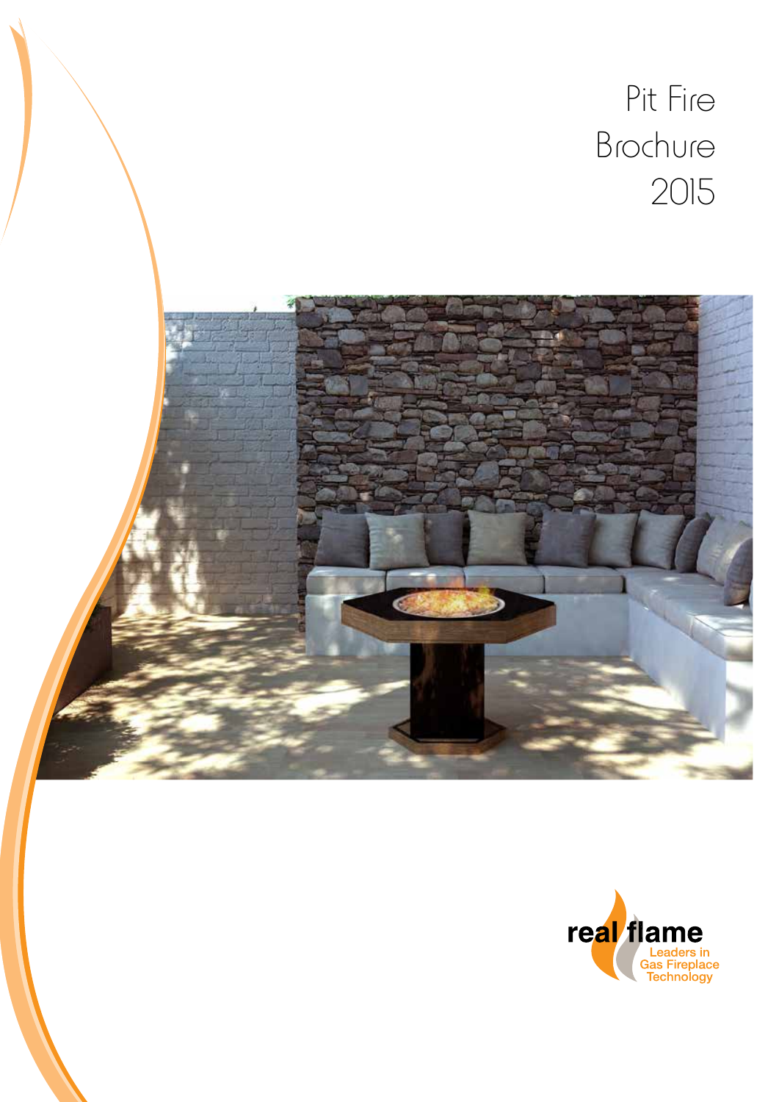# Pit Fire Brochure 2015



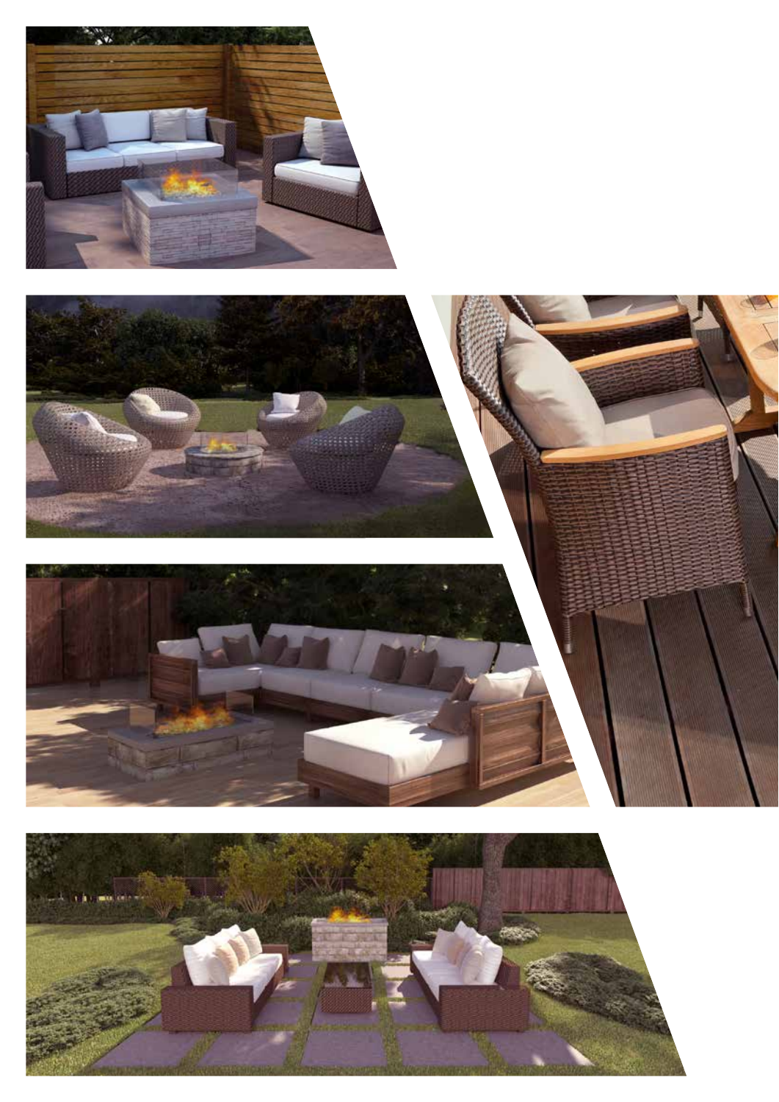